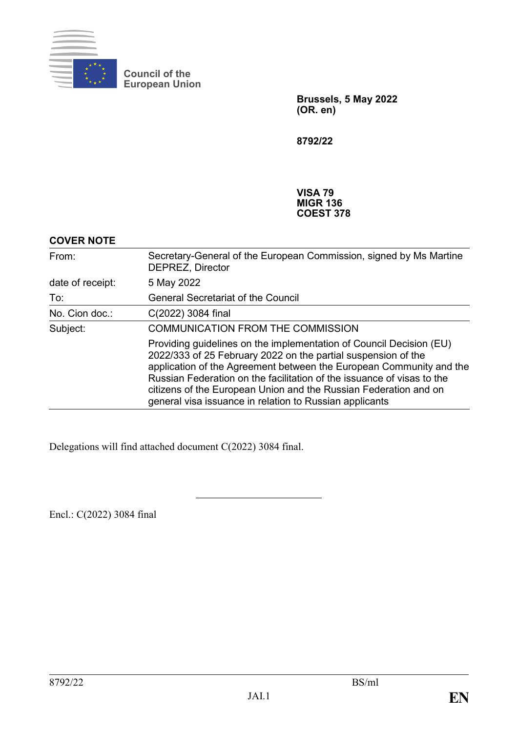

**Council of the European Union**

> **Brussels, 5 May 2022 (OR. en)**

**8792/22**

**VISA 79 MIGR 136 COEST 378**

## **COVER NOTE**

| From:            | Secretary-General of the European Commission, signed by Ms Martine<br>DEPREZ, Director                                                                                                                                                                                                                                                                                                                               |
|------------------|----------------------------------------------------------------------------------------------------------------------------------------------------------------------------------------------------------------------------------------------------------------------------------------------------------------------------------------------------------------------------------------------------------------------|
| date of receipt: | 5 May 2022                                                                                                                                                                                                                                                                                                                                                                                                           |
| To:              | <b>General Secretariat of the Council</b>                                                                                                                                                                                                                                                                                                                                                                            |
| No. Cion doc.:   | C(2022) 3084 final                                                                                                                                                                                                                                                                                                                                                                                                   |
| Subject:         | <b>COMMUNICATION FROM THE COMMISSION</b>                                                                                                                                                                                                                                                                                                                                                                             |
|                  | Providing guidelines on the implementation of Council Decision (EU)<br>2022/333 of 25 February 2022 on the partial suspension of the<br>application of the Agreement between the European Community and the<br>Russian Federation on the facilitation of the issuance of visas to the<br>citizens of the European Union and the Russian Federation and on<br>general visa issuance in relation to Russian applicants |

Delegations will find attached document C(2022) 3084 final.

Encl.: C(2022) 3084 final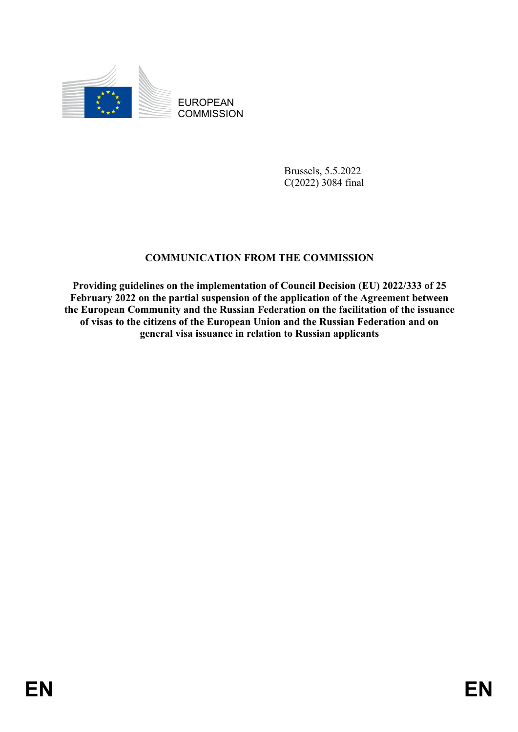

EUROPEAN **COMMISSION** 

> Brussels, 5.5.2022 C(2022) 3084 final

# **COMMUNICATION FROM THE COMMISSION**

**Providing guidelines on the implementation of Council Decision (EU) 2022/333 of 25 February 2022 on the partial suspension of the application of the Agreement between the European Community and the Russian Federation on the facilitation of the issuance of visas to the citizens of the European Union and the Russian Federation and on general visa issuance in relation to Russian applicants**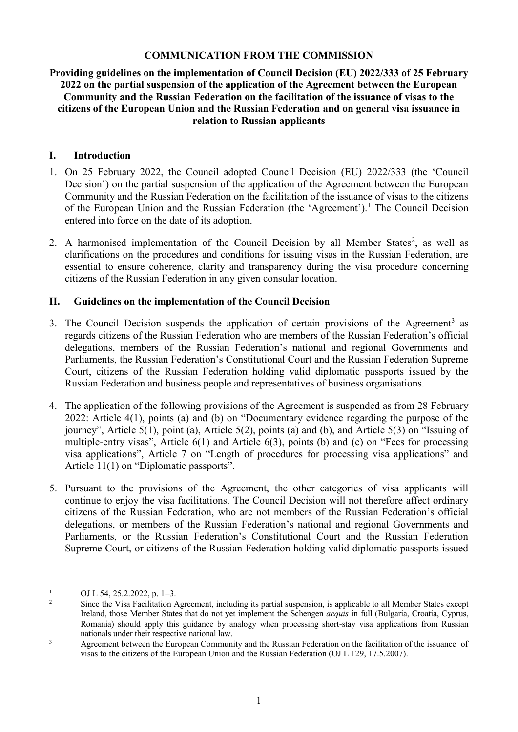### **COMMUNICATION FROM THE COMMISSION**

### **Providing guidelines on the implementation of Council Decision (EU) 2022/333 of 25 February 2022 on the partial suspension of the application of the Agreement between the European Community and the Russian Federation on the facilitation of the issuance of visas to the citizens of the European Union and the Russian Federation and on general visa issuance in relation to Russian applicants**

### **I. Introduction**

- 1. On 25 February 2022, the Council adopted Council Decision (EU) 2022/333 (the 'Council Decision') on the partial suspension of the application of the Agreement between the European Community and the Russian Federation on the facilitation of the issuance of visas to the citizens of the European Union and the Russian Federation (the 'Agreement'). <sup>1</sup> The Council Decision entered into force on the date of its adoption.
- 2. A harmonised implementation of the Council Decision by all Member States<sup>2</sup>, as well as clarifications on the procedures and conditions for issuing visas in the Russian Federation, are essential to ensure coherence, clarity and transparency during the visa procedure concerning citizens of the Russian Federation in any given consular location.

### **II. Guidelines on the implementation of the Council Decision**

- 3. The Council Decision suspends the application of certain provisions of the Agreement<sup>3</sup> as regards citizens of the Russian Federation who are members of the Russian Federation's official delegations, members of the Russian Federation's national and regional Governments and Parliaments, the Russian Federation's Constitutional Court and the Russian Federation Supreme Court, citizens of the Russian Federation holding valid diplomatic passports issued by the Russian Federation and business people and representatives of business organisations.
- 4. The application of the following provisions of the Agreement is suspended as from 28 February 2022: Article 4(1), points (a) and (b) on "Documentary evidence regarding the purpose of the journey", Article 5(1), point (a), Article 5(2), points (a) and (b), and Article 5(3) on "Issuing of multiple-entry visas", Article 6(1) and Article 6(3), points (b) and (c) on "Fees for processing visa applications", Article 7 on "Length of procedures for processing visa applications" and Article 11(1) on "Diplomatic passports".
- 5. Pursuant to the provisions of the Agreement, the other categories of visa applicants will continue to enjoy the visa facilitations. The Council Decision will not therefore affect ordinary citizens of the Russian Federation, who are not members of the Russian Federation's official delegations, or members of the Russian Federation's national and regional Governments and Parliaments, or the Russian Federation's Constitutional Court and the Russian Federation Supreme Court, or citizens of the Russian Federation holding valid diplomatic passports issued

<sup>1</sup> <sup>1</sup> OJ L 54, 25.2.2022, p. 1–3.

<sup>2</sup> Since the Visa Facilitation Agreement, including its partial suspension, is applicable to all Member States except Ireland, those Member States that do not yet implement the Schengen *acquis* in full (Bulgaria, Croatia, Cyprus, Romania) should apply this guidance by analogy when processing short-stay visa applications from Russian nationals under their respective national law.

<sup>&</sup>lt;sup>3</sup> Agreement between the European Community and the Russian Federation on the facilitation of the issuance of visas to the citizens of the European Union and the Russian Federation (OJ L 129, 17.5.2007).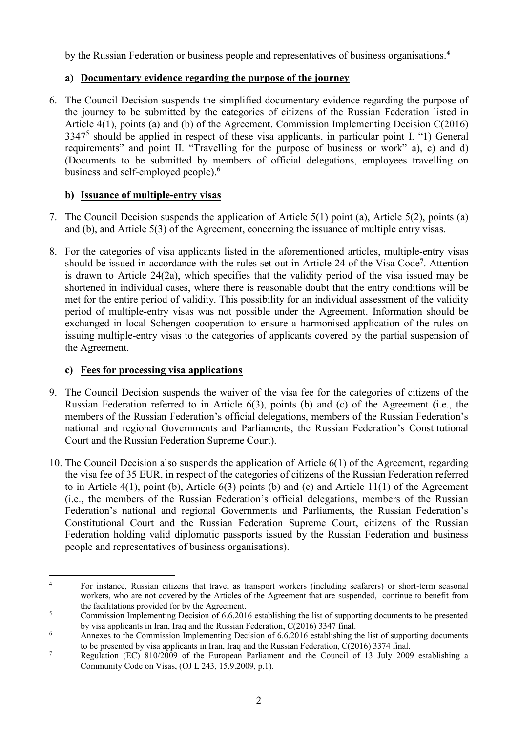by the Russian Federation or business people and representatives of business organisations. **4**

## **a) Documentary evidence regarding the purpose of the journey**

6. The Council Decision suspends the simplified documentary evidence regarding the purpose of the journey to be submitted by the categories of citizens of the Russian Federation listed in Article 4(1), points (a) and (b) of the Agreement. Commission Implementing Decision C(2016) 3347<sup>5</sup> should be applied in respect of these visa applicants, in particular point I. "1) General requirements" and point II. "Travelling for the purpose of business or work" a), c) and d) (Documents to be submitted by members of official delegations, employees travelling on business and self-employed people). 6

## **b) Issuance of multiple-entry visas**

- 7. The Council Decision suspends the application of Article 5(1) point (a), Article 5(2), points (a) and (b), and Article 5(3) of the Agreement, concerning the issuance of multiple entry visas.
- 8. For the categories of visa applicants listed in the aforementioned articles, multiple-entry visas should be issued in accordance with the rules set out in Article 24 of the Visa Code**<sup>7</sup>** . Attention is drawn to Article 24(2a), which specifies that the validity period of the visa issued may be shortened in individual cases, where there is reasonable doubt that the entry conditions will be met for the entire period of validity. This possibility for an individual assessment of the validity period of multiple-entry visas was not possible under the Agreement. Information should be exchanged in local Schengen cooperation to ensure a harmonised application of the rules on issuing multiple-entry visas to the categories of applicants covered by the partial suspension of the Agreement.

# **c) Fees for processing visa applications**

- 9. The Council Decision suspends the waiver of the visa fee for the categories of citizens of the Russian Federation referred to in Article 6(3), points (b) and (c) of the Agreement (i.e., the members of the Russian Federation's official delegations, members of the Russian Federation's national and regional Governments and Parliaments, the Russian Federation's Constitutional Court and the Russian Federation Supreme Court).
- 10. The Council Decision also suspends the application of Article 6(1) of the Agreement, regarding the visa fee of 35 EUR, in respect of the categories of citizens of the Russian Federation referred to in Article 4(1), point (b), Article 6(3) points (b) and (c) and Article 11(1) of the Agreement (i.e., the members of the Russian Federation's official delegations, members of the Russian Federation's national and regional Governments and Parliaments, the Russian Federation's Constitutional Court and the Russian Federation Supreme Court, citizens of the Russian Federation holding valid diplomatic passports issued by the Russian Federation and business people and representatives of business organisations).

 $\overline{4}$ <sup>4</sup> For instance, Russian citizens that travel as transport workers (including seafarers) or short-term seasonal workers, who are not covered by the Articles of the Agreement that are suspended, continue to benefit from the facilitations provided for by the Agreement.

<sup>&</sup>lt;sup>5</sup> Commission Implementing Decision of 6.6.2016 establishing the list of supporting documents to be presented by visa applicants in Iran, Iraq and the Russian Federation, C(2016) 3347 final.

<sup>&</sup>lt;sup>6</sup> Annexes to the Commission Implementing Decision of 6.6.2016 establishing the list of supporting documents to be presented by visa applicants in Iran, Iraq and the Russian Federation, C(2016) 3374 final.

<sup>&</sup>lt;sup>7</sup> Regulation (EC) 810/2009 of the European Parliament and the Council of 13 July 2009 establishing a Community Code on Visas, (OJ L 243, 15.9.2009, p.1).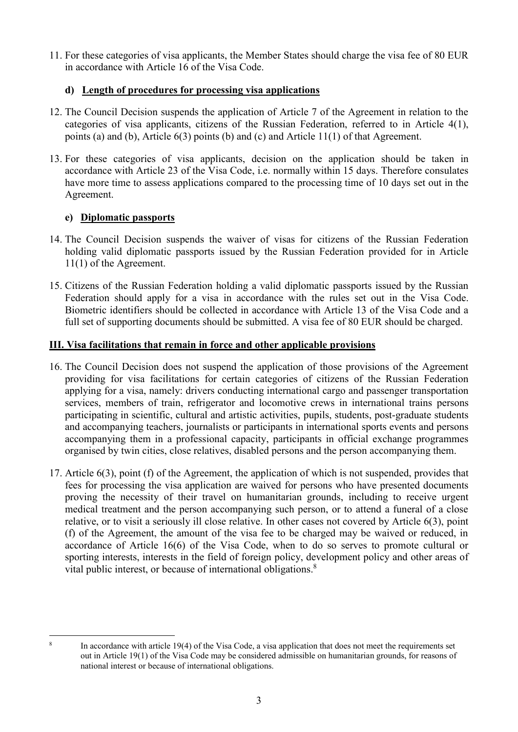11. For these categories of visa applicants, the Member States should charge the visa fee of 80 EUR in accordance with Article 16 of the Visa Code.

### **d) Length of procedures for processing visa applications**

- 12. The Council Decision suspends the application of Article 7 of the Agreement in relation to the categories of visa applicants, citizens of the Russian Federation, referred to in Article 4(1), points (a) and (b), Article 6(3) points (b) and (c) and Article 11(1) of that Agreement.
- 13. For these categories of visa applicants, decision on the application should be taken in accordance with Article 23 of the Visa Code, i.e. normally within 15 days. Therefore consulates have more time to assess applications compared to the processing time of 10 days set out in the Agreement.

### **e) Diplomatic passports**

- 14. The Council Decision suspends the waiver of visas for citizens of the Russian Federation holding valid diplomatic passports issued by the Russian Federation provided for in Article 11(1) of the Agreement.
- 15. Citizens of the Russian Federation holding a valid diplomatic passports issued by the Russian Federation should apply for a visa in accordance with the rules set out in the Visa Code. Biometric identifiers should be collected in accordance with Article 13 of the Visa Code and a full set of supporting documents should be submitted. A visa fee of 80 EUR should be charged.

### **III. Visa facilitations that remain in force and other applicable provisions**

- 16. The Council Decision does not suspend the application of those provisions of the Agreement providing for visa facilitations for certain categories of citizens of the Russian Federation applying for a visa, namely: drivers conducting international cargo and passenger transportation services, members of train, refrigerator and locomotive crews in international trains persons participating in scientific, cultural and artistic activities, pupils, students, post-graduate students and accompanying teachers, journalists or participants in international sports events and persons accompanying them in a professional capacity, participants in official exchange programmes organised by twin cities, close relatives, disabled persons and the person accompanying them.
- 17. Article 6(3), point (f) of the Agreement, the application of which is not suspended, provides that fees for processing the visa application are waived for persons who have presented documents proving the necessity of their travel on humanitarian grounds, including to receive urgent medical treatment and the person accompanying such person, or to attend a funeral of a close relative, or to visit a seriously ill close relative. In other cases not covered by Article 6(3), point (f) of the Agreement, the amount of the visa fee to be charged may be waived or reduced, in accordance of Article 16(6) of the Visa Code, when to do so serves to promote cultural or sporting interests, interests in the field of foreign policy, development policy and other areas of vital public interest, or because of international obligations. 8

<sup>1</sup> 8 In accordance with article 19(4) of the Visa Code, a visa application that does not meet the requirements set out in Article 19(1) of the Visa Code may be considered admissible on humanitarian grounds, for reasons of national interest or because of international obligations.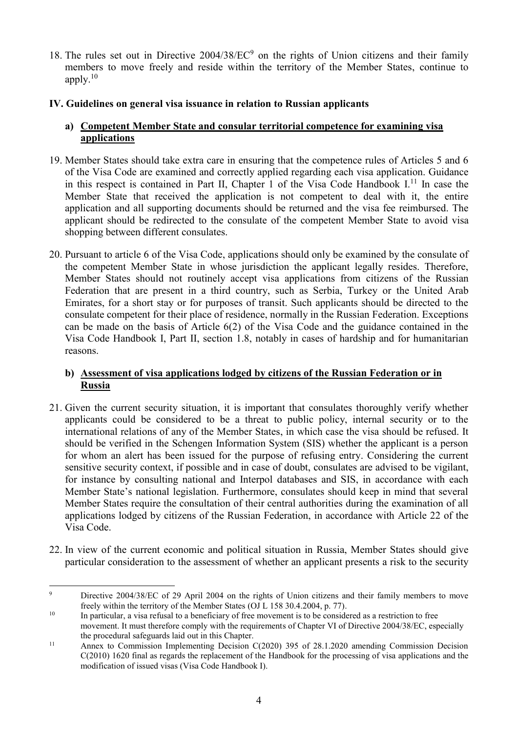18. The rules set out in Directive 2004/38/EC<sup>9</sup> on the rights of Union citizens and their family members to move freely and reside within the territory of the Member States, continue to apply. 10

### **IV. Guidelines on general visa issuance in relation to Russian applicants**

### **a) Competent Member State and consular territorial competence for examining visa applications**

- 19. Member States should take extra care in ensuring that the competence rules of Articles 5 and 6 of the Visa Code are examined and correctly applied regarding each visa application. Guidance in this respect is contained in Part II, Chapter 1 of the Visa Code Handbook  $I<sup>11</sup>$  In case the Member State that received the application is not competent to deal with it, the entire application and all supporting documents should be returned and the visa fee reimbursed. The applicant should be redirected to the consulate of the competent Member State to avoid visa shopping between different consulates.
- 20. Pursuant to article 6 of the Visa Code, applications should only be examined by the consulate of the competent Member State in whose jurisdiction the applicant legally resides. Therefore, Member States should not routinely accept visa applications from citizens of the Russian Federation that are present in a third country, such as Serbia, Turkey or the United Arab Emirates, for a short stay or for purposes of transit. Such applicants should be directed to the consulate competent for their place of residence, normally in the Russian Federation. Exceptions can be made on the basis of Article 6(2) of the Visa Code and the guidance contained in the Visa Code Handbook I, Part II, section 1.8, notably in cases of hardship and for humanitarian reasons.

### **b) Assessment of visa applications lodged by citizens of the Russian Federation or in Russia**

- 21. Given the current security situation, it is important that consulates thoroughly verify whether applicants could be considered to be a threat to public policy, internal security or to the international relations of any of the Member States, in which case the visa should be refused. It should be verified in the Schengen Information System (SIS) whether the applicant is a person for whom an alert has been issued for the purpose of refusing entry. Considering the current sensitive security context, if possible and in case of doubt, consulates are advised to be vigilant, for instance by consulting national and Interpol databases and SIS, in accordance with each Member State's national legislation. Furthermore, consulates should keep in mind that several Member States require the consultation of their central authorities during the examination of all applications lodged by citizens of the Russian Federation, in accordance with Article 22 of the Visa Code.
- 22. In view of the current economic and political situation in Russia, Member States should give particular consideration to the assessment of whether an applicant presents a risk to the security

 $\overline{9}$ Directive 2004/38/EC of 29 April 2004 on the rights of Union citizens and their family members to move freely within the territory of the Member States (OJ L 158 30.4.2004, p. 77).

<sup>&</sup>lt;sup>10</sup> In particular, a visa refusal to a beneficiary of free movement is to be considered as a restriction to free movement. It must therefore comply with the requirements of Chapter VI of Directive 2004/38/EC, especially the procedural safeguards laid out in this Chapter.

<sup>&</sup>lt;sup>11</sup> Annex to Commission Implementing Decision C(2020) 395 of 28.1.2020 amending Commission Decision C(2010) 1620 final as regards the replacement of the Handbook for the processing of visa applications and the modification of issued visas (Visa Code Handbook I).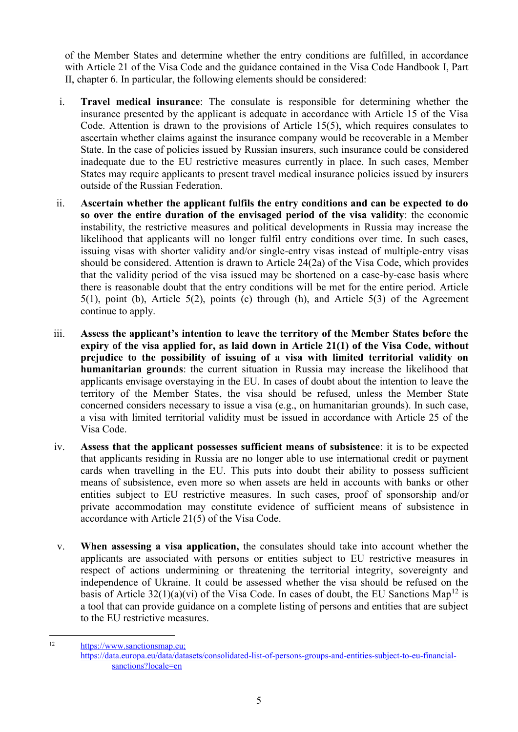of the Member States and determine whether the entry conditions are fulfilled, in accordance with Article 21 of the Visa Code and the guidance contained in the Visa Code Handbook I, Part II, chapter 6. In particular, the following elements should be considered:

- i. **Travel medical insurance**: The consulate is responsible for determining whether the insurance presented by the applicant is adequate in accordance with Article 15 of the Visa Code. Attention is drawn to the provisions of Article 15(5), which requires consulates to ascertain whether claims against the insurance company would be recoverable in a Member State. In the case of policies issued by Russian insurers, such insurance could be considered inadequate due to the EU restrictive measures currently in place. In such cases, Member States may require applicants to present travel medical insurance policies issued by insurers outside of the Russian Federation.
- ii. **Ascertain whether the applicant fulfils the entry conditions and can be expected to do so over the entire duration of the envisaged period of the visa validity**: the economic instability, the restrictive measures and political developments in Russia may increase the likelihood that applicants will no longer fulfil entry conditions over time. In such cases, issuing visas with shorter validity and/or single-entry visas instead of multiple-entry visas should be considered. Attention is drawn to Article 24(2a) of the Visa Code, which provides that the validity period of the visa issued may be shortened on a case-by-case basis where there is reasonable doubt that the entry conditions will be met for the entire period. Article 5(1), point (b), Article 5(2), points (c) through (h), and Article 5(3) of the Agreement continue to apply.
- iii. **Assess the applicant's intention to leave the territory of the Member States before the expiry of the visa applied for, as laid down in Article 21(1) of the Visa Code, without prejudice to the possibility of issuing of a visa with limited territorial validity on humanitarian grounds**: the current situation in Russia may increase the likelihood that applicants envisage overstaying in the EU. In cases of doubt about the intention to leave the territory of the Member States, the visa should be refused, unless the Member State concerned considers necessary to issue a visa (e.g., on humanitarian grounds). In such case, a visa with limited territorial validity must be issued in accordance with Article 25 of the Visa Code.
- iv. **Assess that the applicant possesses sufficient means of subsistence**: it is to be expected that applicants residing in Russia are no longer able to use international credit or payment cards when travelling in the EU. This puts into doubt their ability to possess sufficient means of subsistence, even more so when assets are held in accounts with banks or other entities subject to EU restrictive measures. In such cases, proof of sponsorship and/or private accommodation may constitute evidence of sufficient means of subsistence in accordance with Article 21(5) of the Visa Code.
- v. **When assessing a visa application,** the consulates should take into account whether the applicants are associated with persons or entities subject to EU restrictive measures in respect of actions undermining or threatening the territorial integrity, sovereignty and independence of Ukraine. It could be assessed whether the visa should be refused on the basis of Article  $32(1)(a)(vi)$  of the Visa Code. In cases of doubt, the EU Sanctions Map<sup>12</sup> is a tool that can provide guidance on a complete listing of persons and entities that are subject to the EU restrictive measures.

1 <sup>12</sup> [https://www.sanctionsmap.eu;](https://www.sanctionsmap.eu/) [https://data.europa.eu/data/datasets/consolidated-list-of-persons-groups-and-entities-subject-to-eu-financial](https://data.europa.eu/data/datasets/consolidated-list-of-persons-groups-and-entities-subject-to-eu-financial-sanctions?locale=en)[sanctions?locale=en](https://data.europa.eu/data/datasets/consolidated-list-of-persons-groups-and-entities-subject-to-eu-financial-sanctions?locale=en)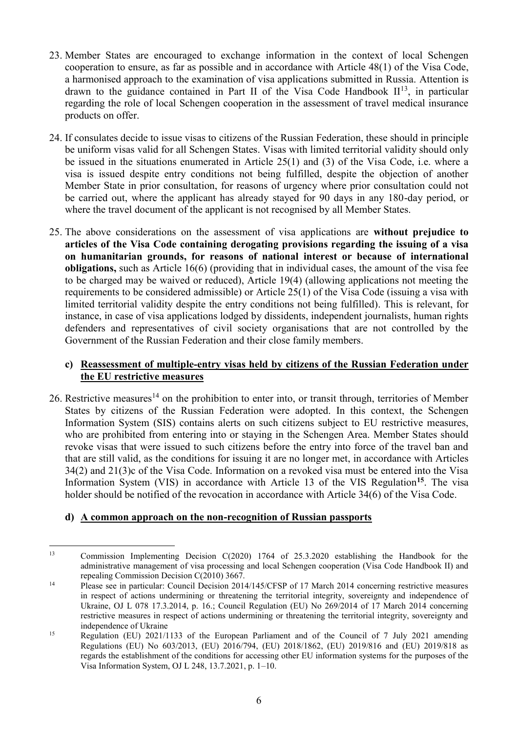- 23. Member States are encouraged to exchange information in the context of local Schengen cooperation to ensure, as far as possible and in accordance with Article 48(1) of the Visa Code, a harmonised approach to the examination of visa applications submitted in Russia. Attention is drawn to the guidance contained in Part II of the Visa Code Handbook  $II<sup>13</sup>$ , in particular regarding the role of local Schengen cooperation in the assessment of travel medical insurance products on offer.
- 24. If consulates decide to issue visas to citizens of the Russian Federation, these should in principle be uniform visas valid for all Schengen States. Visas with limited territorial validity should only be issued in the situations enumerated in Article 25(1) and (3) of the Visa Code, i.e. where a visa is issued despite entry conditions not being fulfilled, despite the objection of another Member State in prior consultation, for reasons of urgency where prior consultation could not be carried out, where the applicant has already stayed for 90 days in any 180-day period, or where the travel document of the applicant is not recognised by all Member States.
- 25. The above considerations on the assessment of visa applications are **without prejudice to articles of the Visa Code containing derogating provisions regarding the issuing of a visa on humanitarian grounds, for reasons of national interest or because of international obligations,** such as Article 16(6) (providing that in individual cases, the amount of the visa fee to be charged may be waived or reduced), Article 19(4) (allowing applications not meeting the requirements to be considered admissible) or Article 25(1) of the Visa Code (issuing a visa with limited territorial validity despite the entry conditions not being fulfilled). This is relevant, for instance, in case of visa applications lodged by dissidents, independent journalists, human rights defenders and representatives of civil society organisations that are not controlled by the Government of the Russian Federation and their close family members.

### **c) Reassessment of multiple-entry visas held by citizens of the Russian Federation under the EU restrictive measures**

26. Restrictive measures<sup>14</sup> on the prohibition to enter into, or transit through, territories of Member States by citizens of the Russian Federation were adopted. In this context, the Schengen Information System (SIS) contains alerts on such citizens subject to EU restrictive measures, who are prohibited from entering into or staying in the Schengen Area. Member States should revoke visas that were issued to such citizens before the entry into force of the travel ban and that are still valid, as the conditions for issuing it are no longer met, in accordance with Articles 34(2) and 21(3)c of the Visa Code. Information on a revoked visa must be entered into the Visa Information System (VIS) in accordance with Article 13 of the VIS Regulation**<sup>15</sup>** . The visa holder should be notified of the revocation in accordance with Article 34(6) of the Visa Code.

### **d) A common approach on the non-recognition of Russian passports**

1

<sup>13</sup> Commission Implementing Decision C(2020) 1764 of 25.3.2020 establishing the Handbook for the administrative management of visa processing and local Schengen cooperation (Visa Code Handbook II) and repealing Commission Decision C(2010) 3667.

<sup>&</sup>lt;sup>14</sup> Please see in particular: Council Decision 2014/145/CFSP of 17 March 2014 concerning restrictive measures in respect of actions undermining or threatening the territorial integrity, sovereignty and independence of Ukraine, OJ L 078 17.3.2014, p. 16.; Council Regulation (EU) No 269/2014 of 17 March 2014 concerning restrictive measures in respect of actions undermining or threatening the territorial integrity, sovereignty and independence of Ukraine

<sup>&</sup>lt;sup>15</sup> Regulation (EU) 2021/1133 of the European Parliament and of the Council of 7 July 2021 amending Regulations (EU) No 603/2013, (EU) 2016/794, (EU) 2018/1862, (EU) 2019/816 and (EU) 2019/818 as regards the establishment of the conditions for accessing other EU information systems for the purposes of the Visa Information System, OJ L 248, 13.7.2021, p. 1–10.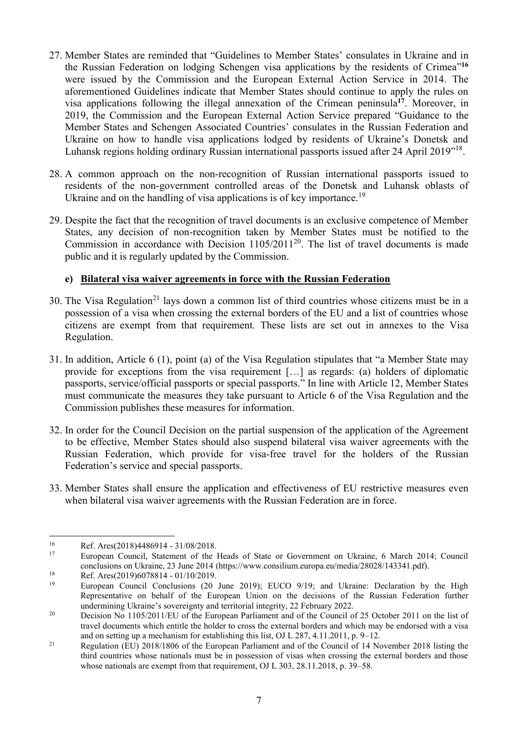- 27. Member States are reminded that "Guidelines to Member States' consulates in Ukraine and in the Russian Federation on lodging Schengen visa applications by the residents of Crimea" **16** were issued by the Commission and the European External Action Service in 2014. The aforementioned Guidelines indicate that Member States should continue to apply the rules on visa applications following the illegal annexation of the Crimean peninsula**<sup>17</sup>** . Moreover, in 2019, the Commission and the European External Action Service prepared "Guidance to the Member States and Schengen Associated Countries' consulates in the Russian Federation and Ukraine on how to handle visa applications lodged by residents of Ukraine's Donetsk and Luhansk regions holding ordinary Russian international passports issued after 24 April 2019"<sup>18</sup>.
- 28. A common approach on the non-recognition of Russian international passports issued to residents of the non-government controlled areas of the Donetsk and Luhansk oblasts of Ukraine and on the handling of visa applications is of key importance.<sup>19</sup>
- 29. Despite the fact that the recognition of travel documents is an exclusive competence of Member States, any decision of non-recognition taken by Member States must be notified to the Commission in accordance with Decision  $1105/2011^{20}$ . The list of travel documents is made public and it is regularly updated by the Commission.

### **e) Bilateral visa waiver agreements in force with the Russian Federation**

- 30. The Visa Regulation<sup>21</sup> lays down a common list of third countries whose citizens must be in a possession of a visa when crossing the external borders of the EU and a list of countries whose citizens are exempt from that requirement. These lists are set out in annexes to the Visa Regulation.
- 31. In addition, Article 6 (1), point (a) of the Visa Regulation stipulates that "a Member State may provide for exceptions from the visa requirement […] as regards: (a) holders of diplomatic passports, service/official passports or special passports." In line with Article 12, Member States must communicate the measures they take pursuant to Article 6 of the Visa Regulation and the Commission publishes these measures for information.
- 32. In order for the Council Decision on the partial suspension of the application of the Agreement to be effective, Member States should also suspend bilateral visa waiver agreements with the Russian Federation, which provide for visa-free travel for the holders of the Russian Federation's service and special passports.
- 33. Member States shall ensure the application and effectiveness of EU restrictive measures even when bilateral visa waiver agreements with the Russian Federation are in force.

<u>.</u>

<sup>16</sup> Ref. Ares(2018)4486914 - 31/08/2018.

European Council, Statement of the Heads of State or Government on Ukraine, 6 March 2014; Council conclusions on Ukraine, 23 June 2014 (https://www.consilium.europa.eu/media/28028/143341.pdf).

<sup>&</sup>lt;sup>18</sup> Ref. Ares(2019)6078814 - 01/10/2019.

<sup>19</sup> European Council Conclusions (20 June 2019); EUCO 9/19; and Ukraine: Declaration by the High Representative on behalf of the European Union on the decisions of the Russian Federation further undermining Ukraine's sovereignty and territorial integrity, 22 February 2022.

<sup>&</sup>lt;sup>20</sup> Decision No 1105/2011/EU of the European Parliament and of the Council of 25 October 2011 on the list of travel documents which entitle the holder to cross the external borders and which may be endorsed with a visa and on setting up a mechanism for establishing this list, OJ L 287, 4.11.2011, p. 9–12.

<sup>&</sup>lt;sup>21</sup> Regulation (EU) 2018/1806 of the European Parliament and of the Council of 14 November 2018 listing the third countries whose nationals must be in possession of visas when crossing the external borders and those whose nationals are exempt from that requirement, OJ L 303, 28.11.2018, p. 39–58.